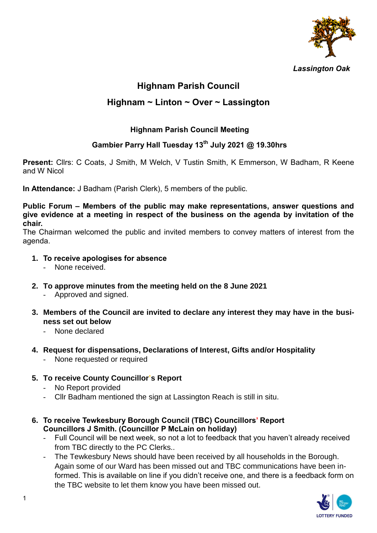

# **Highnam Parish Council**

# **Highnam ~ Linton ~ Over ~ Lassington**

# **Highnam Parish Council Meeting**

# **Gambier Parry Hall Tuesday 13th July 2021 @ 19.30hrs**

**Present:** Cllrs: C Coats, J Smith, M Welch, V Tustin Smith, K Emmerson, W Badham, R Keene and W Nicol

**In Attendance:** J Badham (Parish Clerk), 5 members of the public.

#### **Public Forum – Members of the public may make representations, answer questions and give evidence at a meeting in respect of the business on the agenda by invitation of the chair.**

The Chairman welcomed the public and invited members to convey matters of interest from the agenda.

- **1. To receive apologises for absence** 
	- None received.
- **2. To approve minutes from the meeting held on the 8 June 2021**
	- Approved and signed.
- **3. Members of the Council are invited to declare any interest they may have in the business set out below**
	- None declared
- **4. Request for dispensations, Declarations of Interest, Gifts and/or Hospitality**
	- None requested or required
- **5. To receive County Councillor's Report**
	- No Report provided
	- Cllr Badham mentioned the sign at Lassington Reach is still in situ.
- **6. To receive Tewkesbury Borough Council (TBC) Councillors' Report Councillors J Smith. (Councillor P McLain on holiday)**
	- Full Council will be next week, so not a lot to feedback that you haven't already received from TBC directly to the PC Clerks..
	- The Tewkesbury News should have been received by all households in the Borough. Again some of our Ward has been missed out and TBC communications have been informed. This is available on line if you didn't receive one, and there is a feedback form on the TBC website to let them know you have been missed out.

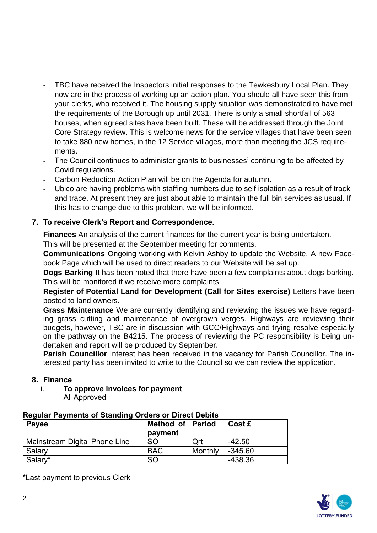- TBC have received the Inspectors initial responses to the Tewkesbury Local Plan. They now are in the process of working up an action plan. You should all have seen this from your clerks, who received it. The housing supply situation was demonstrated to have met the requirements of the Borough up until 2031. There is only a small shortfall of 563 houses, when agreed sites have been built. These will be addressed through the Joint Core Strategy review. This is welcome news for the service villages that have been seen to take 880 new homes, in the 12 Service villages, more than meeting the JCS requirements.
- The Council continues to administer grants to businesses' continuing to be affected by Covid regulations.
- Carbon Reduction Action Plan will be on the Agenda for autumn.
- Ubico are having problems with staffing numbers due to self isolation as a result of track and trace. At present they are just about able to maintain the full bin services as usual. If this has to change due to this problem, we will be informed.

# **7. To receive Clerk's Report and Correspondence.**

**Finances** An analysis of the current finances for the current year is being undertaken. This will be presented at the September meeting for comments.

**Communications** Ongoing working with Kelvin Ashby to update the Website. A new Facebook Page which will be used to direct readers to our Website will be set up.

**Dogs Barking** It has been noted that there have been a few complaints about dogs barking. This will be monitored if we receive more complaints.

**Register of Potential Land for Development (Call for Sites exercise)** Letters have been posted to land owners.

**Grass Maintenance** We are currently identifying and reviewing the issues we have regarding grass cutting and maintenance of overgrown verges. Highways are reviewing their budgets, however, TBC are in discussion with GCC/Highways and trying resolve especially on the pathway on the B4215. The process of reviewing the PC responsibility is being undertaken and report will be produced by September.

**Parish Councillor** Interest has been received in the vacancy for Parish Councillor. The interested party has been invited to write to the Council so we can review the application.

#### **8. Finance**

i. **To approve invoices for payment** All Approved

#### **Regular Payments of Standing Orders or Direct Debits**

| Payee                         | Method of Period<br>payment |         | Cost £    |
|-------------------------------|-----------------------------|---------|-----------|
| Mainstream Digital Phone Line | <b>SO</b>                   | Ort     | $-42.50$  |
| Salary                        | <b>BAC</b>                  | Monthly | $-345.60$ |
| Salary*                       | <b>SO</b>                   |         | -438.36   |

\*Last payment to previous Clerk

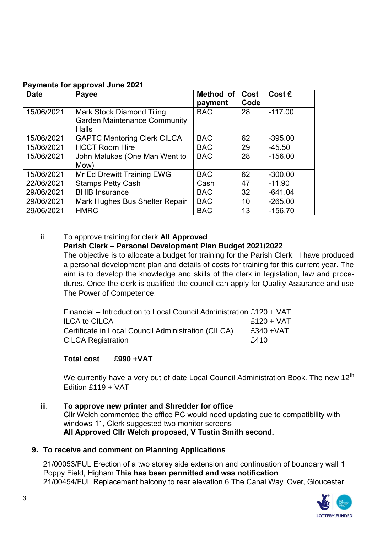| <b>Date</b> | Payee                                                                                   | Method of<br>payment | Cost<br>Code | Cost £    |
|-------------|-----------------------------------------------------------------------------------------|----------------------|--------------|-----------|
| 15/06/2021  | <b>Mark Stock Diamond Tiling</b><br><b>Garden Maintenance Community</b><br><b>Halls</b> | <b>BAC</b>           | 28           | $-117.00$ |
| 15/06/2021  | <b>GAPTC Mentoring Clerk CILCA</b>                                                      | <b>BAC</b>           | 62           | $-395.00$ |
| 15/06/2021  | <b>HCCT Room Hire</b>                                                                   | <b>BAC</b>           | 29           | $-45.50$  |
| 15/06/2021  | John Malukas (One Man Went to<br>Mow)                                                   | <b>BAC</b>           | 28           | $-156.00$ |
| 15/06/2021  | Mr Ed Drewitt Training EWG                                                              | <b>BAC</b>           | 62           | $-300.00$ |
| 22/06/2021  | <b>Stamps Petty Cash</b>                                                                | Cash                 | 47           | $-11.90$  |
| 29/06/2021  | <b>BHIB Insurance</b>                                                                   | <b>BAC</b>           | 32           | $-641.04$ |
| 29/06/2021  | Mark Hughes Bus Shelter Repair                                                          | <b>BAC</b>           | 10           | $-265.00$ |
| 29/06/2021  | <b>HMRC</b>                                                                             | <b>BAC</b>           | 13           | $-156.70$ |

#### **Payments for approval June 2021**

# ii. To approve training for clerk **All Approved**

#### **Parish Clerk – Personal Development Plan Budget 2021/2022**

The objective is to allocate a budget for training for the Parish Clerk. I have produced a personal development plan and details of costs for training for this current year. The aim is to develop the knowledge and skills of the clerk in legislation, law and procedures. Once the clerk is qualified the council can apply for Quality Assurance and use The Power of Competence.

| Financial – Introduction to Local Council Administration £120 + VAT |              |
|---------------------------------------------------------------------|--------------|
| <b>ILCA to CILCA</b>                                                | $£120 + VAT$ |
| Certificate in Local Council Administration (CILCA)                 | $£340 + VAT$ |
| <b>CILCA Registration</b>                                           | £410         |

#### **Total cost £990 +VAT**

We currently have a very out of date Local Council Administration Book. The new  $12<sup>th</sup>$ Edition £119 + VAT

iii. **To approve new printer and Shredder for office**  Cllr Welch commented the office PC would need updating due to compatibility with windows 11, Clerk suggested two monitor screens **All Approved Cllr Welch proposed, V Tustin Smith second.** 

## **9. To receive and comment on Planning Applications**

21/00053/FUL Erection of a two storey side extension and continuation of boundary wall 1 Poppy Field, Higham **This has been permitted and was notification** 21/00454/FUL Replacement balcony to rear elevation 6 The Canal Way, Over, Gloucester

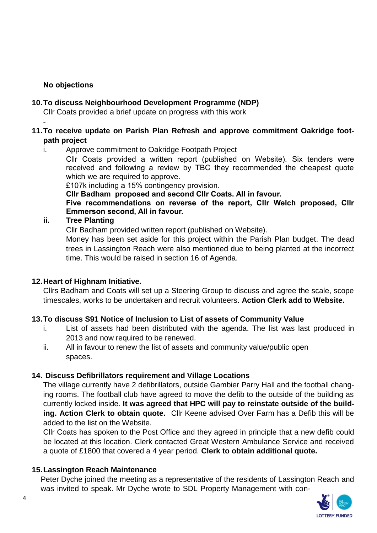# **No objections**

-

## **10.To discuss Neighbourhood Development Programme (NDP)**

Cllr Coats provided a brief update on progress with this work

## **11.To receive update on Parish Plan Refresh and approve commitment Oakridge footpath project**

## i. Approve commitment to Oakridge Footpath Project

Cllr Coats provided a written report (published on Website). Six tenders were received and following a review by TBC they recommended the cheapest quote which we are required to approve.

£107k including a 15% contingency provision.

**Cllr Badham proposed and second Cllr Coats. All in favour.** 

**Five recommendations on reverse of the report, Cllr Welch proposed, Cllr Emmerson second, All in favour.** 

# **ii. Tree Planting**

Cllr Badham provided written report (published on Website).

Money has been set aside for this project within the Parish Plan budget. The dead trees in Lassington Reach were also mentioned due to being planted at the incorrect time. This would be raised in section 16 of Agenda.

## **12.Heart of Highnam Initiative.**

Cllrs Badham and Coats will set up a Steering Group to discuss and agree the scale, scope timescales, works to be undertaken and recruit volunteers. **Action Clerk add to Website.** 

# **13.To discuss S91 Notice of Inclusion to List of assets of Community Value**

- i. List of assets had been distributed with the agenda. The list was last produced in 2013 and now required to be renewed.
- ii. All in favour to renew the list of assets and community value/public open spaces.

## **14. Discuss Defibrillators requirement and Village Locations**

The village currently have 2 defibrillators, outside Gambier Parry Hall and the football changing rooms. The football club have agreed to move the defib to the outside of the building as currently locked inside. **It was agreed that HPC will pay to reinstate outside of the building. Action Clerk to obtain quote.** Cllr Keene advised Over Farm has a Defib this will be added to the list on the Website.

Cllr Coats has spoken to the Post Office and they agreed in principle that a new defib could be located at this location. Clerk contacted Great Western Ambulance Service and received a quote of £1800 that covered a 4 year period. **Clerk to obtain additional quote.** 

## **15.Lassington Reach Maintenance**

Peter Dyche joined the meeting as a representative of the residents of Lassington Reach and was invited to speak. Mr Dyche wrote to SDL Property Management with con-

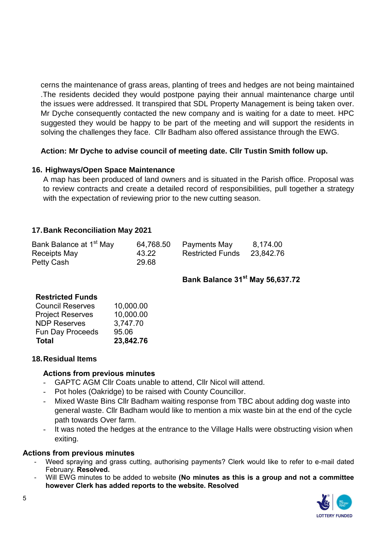cerns the maintenance of grass areas, planting of trees and hedges are not being maintained .The residents decided they would postpone paying their annual maintenance charge until the issues were addressed. It transpired that SDL Property Management is being taken over. Mr Dyche consequently contacted the new company and is waiting for a date to meet. HPC suggested they would be happy to be part of the meeting and will support the residents in solving the challenges they face. Cllr Badham also offered assistance through the EWG.

## **Action: Mr Dyche to advise council of meeting date. Cllr Tustin Smith follow up.**

## **16. Highways/Open Space Maintenance**

A map has been produced of land owners and is situated in the Parish office. Proposal was to review contracts and create a detailed record of responsibilities, pull together a strategy with the expectation of reviewing prior to the new cutting season.

## **17.Bank Reconciliation May 2021**

| Bank Balance at 1 <sup>st</sup> May | 64,768.50 | Payments May            | 8,174.00  |
|-------------------------------------|-----------|-------------------------|-----------|
| Receipts May                        | 43.22     | <b>Restricted Funds</b> | 23,842.76 |
| Petty Cash                          | 29.68     |                         |           |

# **Bank Balance 31st May 56,637.72**

#### **Restricted Funds**

| <b>Total</b>            | 23,842.76 |
|-------------------------|-----------|
| <b>Fun Day Proceeds</b> | 95.06     |
| <b>NDP Reserves</b>     | 3,747.70  |
| <b>Project Reserves</b> | 10,000.00 |
| <b>Council Reserves</b> | 10,000.00 |

#### **18.Residual Items**

#### **Actions from previous minutes**

- GAPTC AGM Cllr Coats unable to attend, Cllr Nicol will attend.
- Pot holes (Oakridge) to be raised with County Councillor.
- Mixed Waste Bins Cllr Badham waiting response from TBC about adding dog waste into general waste. Cllr Badham would like to mention a mix waste bin at the end of the cycle path towards Over farm.
- It was noted the hedges at the entrance to the Village Halls were obstructing vision when exiting.

#### **Actions from previous minutes**

- Weed spraying and grass cutting, authorising payments? Clerk would like to refer to e-mail dated February. **Resolved.**
- Will EWG minutes to be added to website **(No minutes as this is a group and not a committee however Clerk has added reports to the website. Resolved**